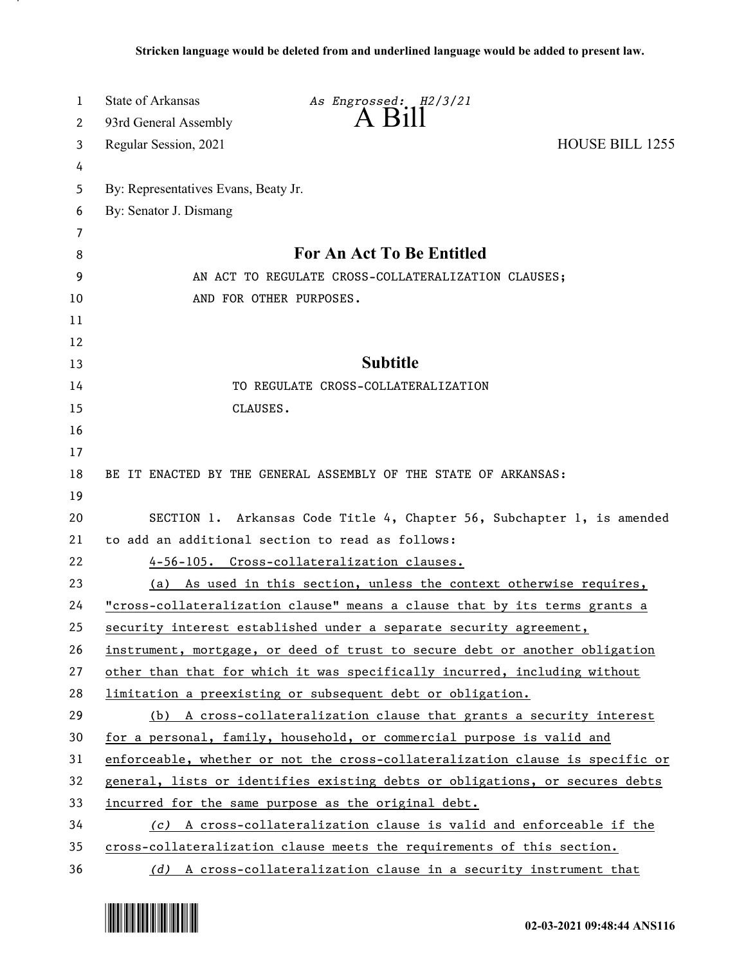| 1  | State of Arkansas                                                            | As Engrossed: H2/3/21                                                         |                        |
|----|------------------------------------------------------------------------------|-------------------------------------------------------------------------------|------------------------|
| 2  | 93rd General Assembly                                                        | $A$ $B11$                                                                     |                        |
| 3  | Regular Session, 2021                                                        |                                                                               | <b>HOUSE BILL 1255</b> |
| 4  |                                                                              |                                                                               |                        |
| 5  | By: Representatives Evans, Beaty Jr.                                         |                                                                               |                        |
| 6  | By: Senator J. Dismang                                                       |                                                                               |                        |
| 7  |                                                                              |                                                                               |                        |
| 8  | For An Act To Be Entitled                                                    |                                                                               |                        |
| 9  | AN ACT TO REGULATE CROSS-COLLATERALIZATION CLAUSES;                          |                                                                               |                        |
| 10 | AND FOR OTHER PURPOSES.                                                      |                                                                               |                        |
| 11 |                                                                              |                                                                               |                        |
| 12 |                                                                              |                                                                               |                        |
| 13 |                                                                              | <b>Subtitle</b>                                                               |                        |
| 14 |                                                                              | TO REGULATE CROSS-COLLATERALIZATION                                           |                        |
| 15 | CLAUSES.                                                                     |                                                                               |                        |
| 16 |                                                                              |                                                                               |                        |
| 17 |                                                                              |                                                                               |                        |
| 18 |                                                                              | BE IT ENACTED BY THE GENERAL ASSEMBLY OF THE STATE OF ARKANSAS:               |                        |
| 19 |                                                                              |                                                                               |                        |
| 20 | SECTION 1. Arkansas Code Title 4, Chapter 56, Subchapter 1, is amended       |                                                                               |                        |
| 21 | to add an additional section to read as follows:                             |                                                                               |                        |
| 22 |                                                                              | 4-56-105. Cross-collateralization clauses.                                    |                        |
| 23 |                                                                              | (a) As used in this section, unless the context otherwise requires,           |                        |
| 24 | "cross-collateralization clause" means a clause that by its terms grants a   |                                                                               |                        |
| 25 |                                                                              | security interest established under a separate security agreement,            |                        |
| 26 |                                                                              | instrument, mortgage, or deed of trust to secure debt or another obligation   |                        |
| 27 |                                                                              | other than that for which it was specifically incurred, including without     |                        |
| 28 |                                                                              | limitation a preexisting or subsequent debt or obligation.                    |                        |
| 29 |                                                                              | (b) A cross-collateralization clause that grants a security interest          |                        |
| 30 |                                                                              | for a personal, family, household, or commercial purpose is valid and         |                        |
| 31 |                                                                              | enforceable, whether or not the cross-collateralization clause is specific or |                        |
| 32 | general, lists or identifies existing debts or obligations, or secures debts |                                                                               |                        |
| 33 | incurred for the same purpose as the original debt.                          |                                                                               |                        |
| 34 | (c) A cross-collateralization clause is valid and enforceable if the         |                                                                               |                        |
| 35 | cross-collateralization clause meets the requirements of this section.       |                                                                               |                        |
| 36 |                                                                              | (d) A cross-collateralization clause in a security instrument that            |                        |